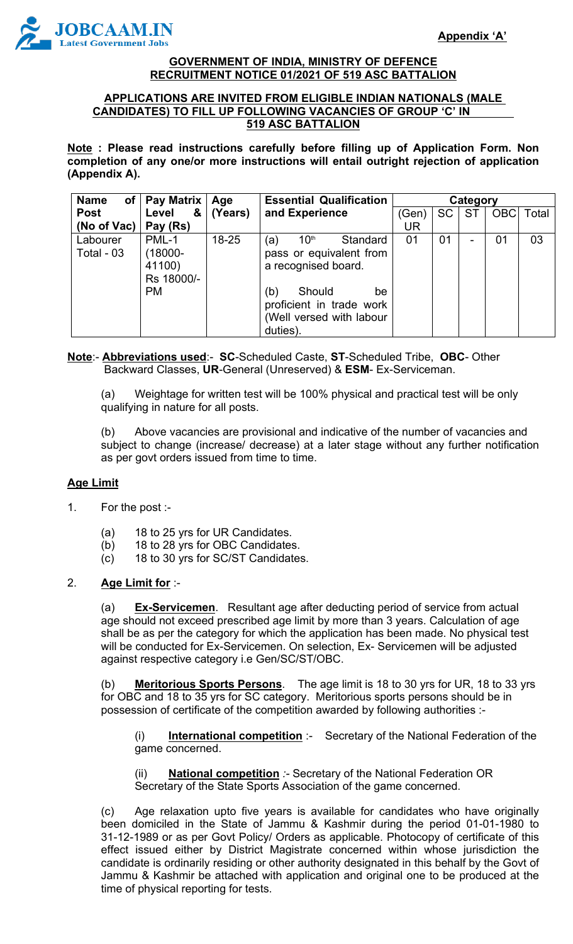

#### **GOVERNMENT OF INDIA, MINISTRY OF DEFENCE RECRUITMENT NOTICE 01/2021 OF 519 ASC BATTALION**

### **APPLICATIONS ARE INVITED FROM ELIGIBLE INDIAN NATIONALS (MALE CANDIDATES) TO FILL UP FOLLOWING VACANCIES OF GROUP 'C' IN 519 ASC BATTALION**

**Note : Please read instructions carefully before filling up of Application Form. Non completion of any one/or more instructions will entail outright rejection of application (Appendix A).**

| <b>Name</b>            | of   Pay Matrix   Age                                 |           | <b>Essential Qualification</b>                                                                                                                                                   | Category |           |                          |            |       |
|------------------------|-------------------------------------------------------|-----------|----------------------------------------------------------------------------------------------------------------------------------------------------------------------------------|----------|-----------|--------------------------|------------|-------|
| <b>Post</b>            | &<br>Level                                            | (Years)   | and Experience                                                                                                                                                                   | (Gen)    | <b>SC</b> | <b>ST</b>                | <b>OBC</b> | Total |
| (No of Vac)            | Pay (Rs)                                              |           |                                                                                                                                                                                  | UR       |           |                          |            |       |
| Labourer<br>Total - 03 | PML-1<br>(18000-<br>41100)<br>Rs 18000/-<br><b>PM</b> | $18 - 25$ | 10 <sup>th</sup><br>Standard<br>(a)<br>pass or equivalent from<br>a recognised board.<br>Should<br>(b)<br>be<br>proficient in trade work<br>(Well versed with labour<br>duties). | 01       | 01        | $\overline{\phantom{a}}$ | 01         | 03    |

### **Note**:- **Abbreviations used**:- **SC**-Scheduled Caste, **ST**-Scheduled Tribe, **OBC**- Other Backward Classes, **UR**-General (Unreserved) & **ESM**- Ex-Serviceman.

(a) Weightage for written test will be 100% physical and practical test will be only qualifying in nature for all posts.

(b) Above vacancies are provisional and indicative of the number of vacancies and subject to change (increase/ decrease) at a later stage without any further notification as per govt orders issued from time to time.

### **Age Limit**

- 1. For the post :-
	- (a) 18 to 25 yrs for UR Candidates.
	- (b) 18 to 28 yrs for OBC Candidates.
	- (c) 18 to 30 yrs for SC/ST Candidates.

### 2. **Age Limit for** :-

(a) **Ex-Servicemen**. Resultant age after deducting period of service from actual age should not exceed prescribed age limit by more than 3 years. Calculation of age shall be as per the category for which the application has been made. No physical test will be conducted for Ex-Servicemen. On selection, Ex- Servicemen will be adjusted against respective category i.e Gen/SC/ST/OBC.

(b) **Meritorious Sports Persons**. The age limit is 18 to 30 yrs for UR, 18 to 33 yrs for OBC and 18 to 35 yrs for SC category. Meritorious sports persons should be in possession of certificate of the competition awarded by following authorities :-

(i) **International competition** :- Secretary of the National Federation of the game concerned.

(ii) **National competition** *:-* Secretary of the National Federation OR Secretary of the State Sports Association of the game concerned.

(c) Age relaxation upto five years is available for candidates who have originally been domiciled in the State of Jammu & Kashmir during the period 01-01-1980 to 31-12-1989 or as per Govt Policy/ Orders as applicable. Photocopy of certificate of this effect issued either by District Magistrate concerned within whose jurisdiction the candidate is ordinarily residing or other authority designated in this behalf by the Govt of Jammu & Kashmir be attached with application and original one to be produced at the time of physical reporting for tests.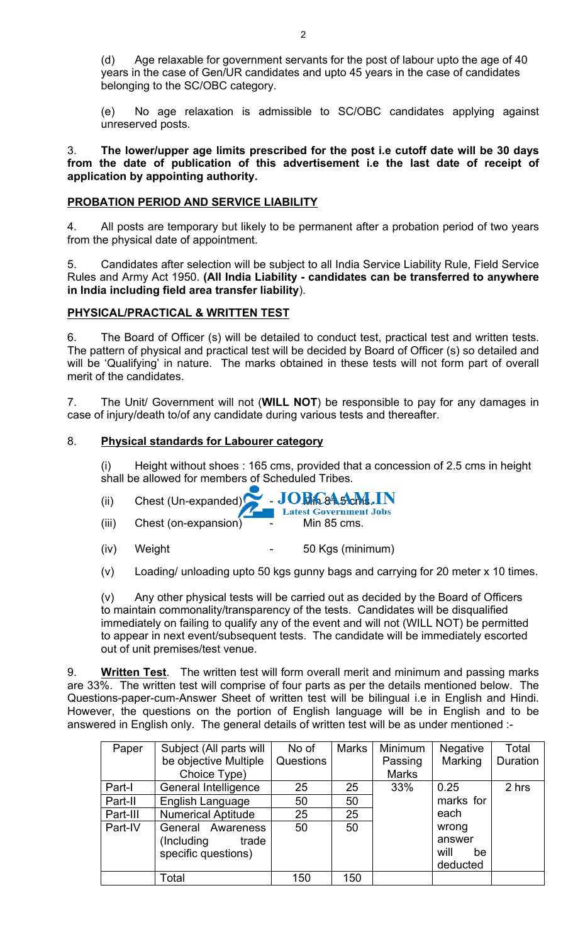(d) Age relaxable for government servants for the post of labour upto the age of 40 years in the case of Gen/UR candidates and upto 45 years in the case of candidates belonging to the SC/OBC category.

(e) No age relaxation is admissible to SC/OBC candidates applying against unreserved posts.

3. **The lower/upper age limits prescribed for the post i.e cutoff date will be 30 days from the date of publication of this advertisement i.e the last date of receipt of application by appointing authority.** 

### **PROBATION PERIOD AND SERVICE LIABILITY**

4. All posts are temporary but likely to be permanent after a probation period of two years from the physical date of appointment.

5. Candidates after selection will be subject to all India Service Liability Rule, Field Service Rules and Army Act 1950. **(All India Liability - candidates can be transferred to anywhere in India including field area transfer liability**).

### **PHYSICAL/PRACTICAL & WRITTEN TEST**

6. The Board of Officer (s) will be detailed to conduct test, practical test and written tests. The pattern of physical and practical test will be decided by Board of Officer (s) so detailed and will be 'Qualifying' in nature. The marks obtained in these tests will not form part of overall merit of the candidates.

7. The Unit/ Government will not (**WILL NOT**) be responsible to pay for any damages in case of injury/death to/of any candidate during various tests and thereafter.

### 8. **Physical standards for Labourer category**

(i) Height without shoes : 165 cms, provided that a concession of 2.5 cms in height shall be allowed for members of Scheduled Tribes.

- (ii)  $\left\langle \text{Check (Un-expanded)} \right\rangle$   $\left\langle \text{Check (Un-expanded)} \right\rangle$   $\left\langle \text{Check (Svermment Jobs)} \right\rangle$
- (iii) Chest (on-expansion) Min 85 cms.
- (iv) Weight 50 Kgs (minimum)
- (v) Loading/ unloading upto 50 kgs gunny bags and carrying for 20 meter x 10 times.

(v) Any other physical tests will be carried out as decided by the Board of Officers to maintain commonality/transparency of the tests. Candidates will be disqualified immediately on failing to qualify any of the event and will not (WILL NOT) be permitted to appear in next event/subsequent tests. The candidate will be immediately escorted out of unit premises/test venue.

9. **Written Test**. The written test will form overall merit and minimum and passing marks are 33%. The written test will comprise of four parts as per the details mentioned below. The Questions-paper-cum-Answer Sheet of written test will be bilingual i.e in English and Hindi. However, the questions on the portion of English language will be in English and to be answered in English only. The general details of written test will be as under mentioned :-

| Paper    | Subject (All parts will   | No of     | <b>Marks</b> | Minimum      | <b>Negative</b> | Total    |  |
|----------|---------------------------|-----------|--------------|--------------|-----------------|----------|--|
|          | be objective Multiple     | Questions |              | Passing      | Marking         | Duration |  |
|          | Choice Type)              |           |              | <b>Marks</b> |                 |          |  |
| Part-I   | General Intelligence      | 25        | 25           | 33%          | 0.25            | 2 hrs    |  |
| Part-II  | English Language          | 50        | 50           |              | marks for       |          |  |
| Part-III | <b>Numerical Aptitude</b> | 25        | 25           |              | each            |          |  |
| Part-IV  | General Awareness         | 50        | 50           |              | wrong           |          |  |
|          | (Including)<br>trade      |           |              |              | answer          |          |  |
|          | specific questions)       |           |              |              | will<br>be      |          |  |
|          |                           |           |              |              | deducted        |          |  |
|          | Total                     | 150       | 150          |              |                 |          |  |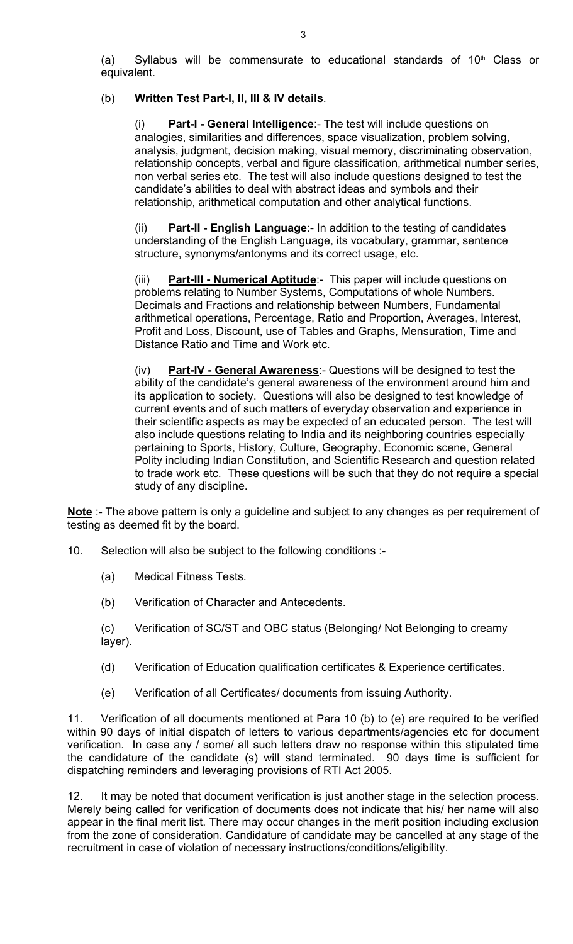(a) Syllabus will be commensurate to educational standards of  $10<sup>th</sup>$  Class or equivalent.

### (b) **Written Test Part-I, II, III & IV details**.

**Part-I - General Intelligence**: The test will include questions on analogies, similarities and differences, space visualization, problem solving, analysis, judgment, decision making, visual memory, discriminating observation, relationship concepts, verbal and figure classification, arithmetical number series, non verbal series etc. The test will also include questions designed to test the candidate's abilities to deal with abstract ideas and symbols and their relationship, arithmetical computation and other analytical functions.

(ii) **Part-II - English Language**:- In addition to the testing of candidates understanding of the English Language, its vocabulary, grammar, sentence structure, synonyms/antonyms and its correct usage, etc.

(iii) **Part-III - Numerical Aptitude**:- This paper will include questions on problems relating to Number Systems, Computations of whole Numbers. Decimals and Fractions and relationship between Numbers, Fundamental arithmetical operations, Percentage, Ratio and Proportion, Averages, Interest, Profit and Loss, Discount, use of Tables and Graphs, Mensuration, Time and Distance Ratio and Time and Work etc.

(iv) **Part-IV - General Awareness**:- Questions will be designed to test the ability of the candidate's general awareness of the environment around him and its application to society. Questions will also be designed to test knowledge of current events and of such matters of everyday observation and experience in their scientific aspects as may be expected of an educated person. The test will also include questions relating to India and its neighboring countries especially pertaining to Sports, History, Culture, Geography, Economic scene, General Polity including Indian Constitution, and Scientific Research and question related to trade work etc. These questions will be such that they do not require a special study of any discipline.

**Note** :- The above pattern is only a guideline and subject to any changes as per requirement of testing as deemed fit by the board.

- 10. Selection will also be subject to the following conditions :-
	- (a) Medical Fitness Tests.
	- (b) Verification of Character and Antecedents.

(c) Verification of SC/ST and OBC status (Belonging/ Not Belonging to creamy layer).

- (d) Verification of Education qualification certificates & Experience certificates.
- (e) Verification of all Certificates/ documents from issuing Authority.

11. Verification of all documents mentioned at Para 10 (b) to (e) are required to be verified within 90 days of initial dispatch of letters to various departments/agencies etc for document verification. In case any / some/ all such letters draw no response within this stipulated time the candidature of the candidate (s) will stand terminated. 90 days time is sufficient for dispatching reminders and leveraging provisions of RTI Act 2005.

12. It may be noted that document verification is just another stage in the selection process. Merely being called for verification of documents does not indicate that his/ her name will also appear in the final merit list. There may occur changes in the merit position including exclusion from the zone of consideration. Candidature of candidate may be cancelled at any stage of the recruitment in case of violation of necessary instructions/conditions/eligibility.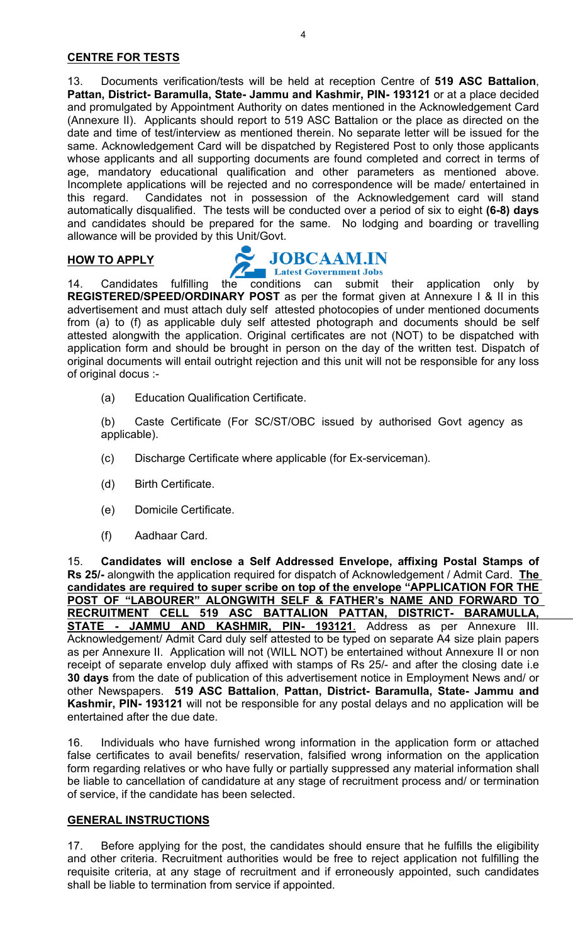13. Documents verification/tests will be held at reception Centre of **519 ASC Battalion**, **Pattan, District- Baramulla, State- Jammu and Kashmir, PIN- 193121** or at a place decided and promulgated by Appointment Authority on dates mentioned in the Acknowledgement Card (Annexure II). Applicants should report to 519 ASC Battalion or the place as directed on the date and time of test/interview as mentioned therein. No separate letter will be issued for the same. Acknowledgement Card will be dispatched by Registered Post to only those applicants whose applicants and all supporting documents are found completed and correct in terms of age, mandatory educational qualification and other parameters as mentioned above. Incomplete applications will be rejected and no correspondence will be made/ entertained in this regard. Candidates not in possession of the Acknowledgement card will stand automatically disqualified. The tests will be conducted over a period of six to eight **(6-8) days** and candidates should be prepared for the same. No lodging and boarding or travelling allowance will be provided by this Unit/Govt.

# **HOW TO APPLY APPLY CONCORDINAL SUBCAAM.IN**

14. Candidates fulfilling the conditions can submit their application only by **REGISTERED/SPEED/ORDINARY POST** as per the format given at Annexure I & II in this advertisement and must attach duly self attested photocopies of under mentioned documents from (a) to (f) as applicable duly self attested photograph and documents should be self attested alongwith the application. Original certificates are not (NOT) to be dispatched with application form and should be brought in person on the day of the written test. Dispatch of original documents will entail outright rejection and this unit will not be responsible for any loss of original docus :-

(a) Education Qualification Certificate.

(b) Caste Certificate (For SC/ST/OBC issued by authorised Govt agency as applicable).

- (c) Discharge Certificate where applicable (for Ex-serviceman).
- (d) Birth Certificate.
- (e) Domicile Certificate.
- (f) Aadhaar Card.

15. **Candidates will enclose a Self Addressed Envelope, affixing Postal Stamps of Rs 25/-** alongwith the application required for dispatch of Acknowledgement / Admit Card. **The candidates are required to super scribe on top of the envelope "APPLICATION FOR THE POST OF "LABOURER" ALONGWITH SELF & FATHER's NAME AND FORWARD TO RECRUITMENT CELL 519 ASC BATTALION PATTAN, DISTRICT- BARAMULLA, STATE - JAMMU AND KASHMIR, PIN- 193121**. Address as per Annexure III. Acknowledgement/ Admit Card duly self attested to be typed on separate A4 size plain papers as per Annexure II. Application will not (WILL NOT) be entertained without Annexure II or non receipt of separate envelop duly affixed with stamps of Rs 25/- and after the closing date i.e **30 days** from the date of publication of this advertisement notice in Employment News and/ or other Newspapers. **519 ASC Battalion**, **Pattan, District- Baramulla, State- Jammu and Kashmir, PIN- 193121** will not be responsible for any postal delays and no application will be entertained after the due date.

16. Individuals who have furnished wrong information in the application form or attached false certificates to avail benefits/ reservation, falsified wrong information on the application form regarding relatives or who have fully or partially suppressed any material information shall be liable to cancellation of candidature at any stage of recruitment process and/ or termination of service, if the candidate has been selected.

### **GENERAL INSTRUCTIONS**

17. Before applying for the post, the candidates should ensure that he fulfills the eligibility and other criteria. Recruitment authorities would be free to reject application not fulfilling the requisite criteria, at any stage of recruitment and if erroneously appointed, such candidates shall be liable to termination from service if appointed.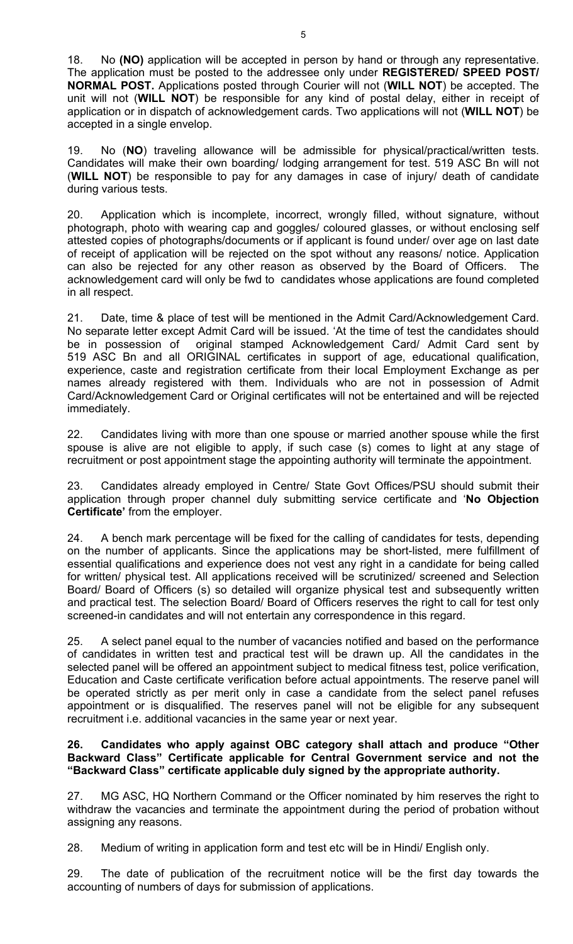18. No **(NO)** application will be accepted in person by hand or through any representative. The application must be posted to the addressee only under **REGISTERED/ SPEED POST/ NORMAL POST.** Applications posted through Courier will not (**WILL NOT**) be accepted. The unit will not (**WILL NOT**) be responsible for any kind of postal delay, either in receipt of application or in dispatch of acknowledgement cards. Two applications will not (**WILL NOT**) be accepted in a single envelop.

19. No (**NO**) traveling allowance will be admissible for physical/practical/written tests. Candidates will make their own boarding/ lodging arrangement for test. 519 ASC Bn will not (**WILL NOT**) be responsible to pay for any damages in case of injury/ death of candidate during various tests.

20. Application which is incomplete, incorrect, wrongly filled, without signature, without photograph, photo with wearing cap and goggles/ coloured glasses, or without enclosing self attested copies of photographs/documents or if applicant is found under/ over age on last date of receipt of application will be rejected on the spot without any reasons/ notice. Application can also be rejected for any other reason as observed by the Board of Officers. The acknowledgement card will only be fwd to candidates whose applications are found completed in all respect.

21. Date, time & place of test will be mentioned in the Admit Card/Acknowledgement Card. No separate letter except Admit Card will be issued. 'At the time of test the candidates should be in possession of original stamped Acknowledgement Card/ Admit Card sent by 519 ASC Bn and all ORIGINAL certificates in support of age, educational qualification, experience, caste and registration certificate from their local Employment Exchange as per names already registered with them. Individuals who are not in possession of Admit Card/Acknowledgement Card or Original certificates will not be entertained and will be rejected immediately.

22. Candidates living with more than one spouse or married another spouse while the first spouse is alive are not eligible to apply, if such case (s) comes to light at any stage of recruitment or post appointment stage the appointing authority will terminate the appointment.

23. Candidates already employed in Centre/ State Govt Offices/PSU should submit their application through proper channel duly submitting service certificate and '**No Objection Certificate'** from the employer.

24. A bench mark percentage will be fixed for the calling of candidates for tests, depending on the number of applicants. Since the applications may be short-listed, mere fulfillment of essential qualifications and experience does not vest any right in a candidate for being called for written/ physical test. All applications received will be scrutinized/ screened and Selection Board/ Board of Officers (s) so detailed will organize physical test and subsequently written and practical test. The selection Board/ Board of Officers reserves the right to call for test only screened-in candidates and will not entertain any correspondence in this regard.

25. A select panel equal to the number of vacancies notified and based on the performance of candidates in written test and practical test will be drawn up. All the candidates in the selected panel will be offered an appointment subject to medical fitness test, police verification, Education and Caste certificate verification before actual appointments. The reserve panel will be operated strictly as per merit only in case a candidate from the select panel refuses appointment or is disqualified. The reserves panel will not be eligible for any subsequent recruitment i.e. additional vacancies in the same year or next year.

### **26. Candidates who apply against OBC category shall attach and produce "Other Backward Class" Certificate applicable for Central Government service and not the "Backward Class" certificate applicable duly signed by the appropriate authority.**

27. MG ASC, HQ Northern Command or the Officer nominated by him reserves the right to withdraw the vacancies and terminate the appointment during the period of probation without assigning any reasons.

28. Medium of writing in application form and test etc will be in Hindi/ English only.

29. The date of publication of the recruitment notice will be the first day towards the accounting of numbers of days for submission of applications.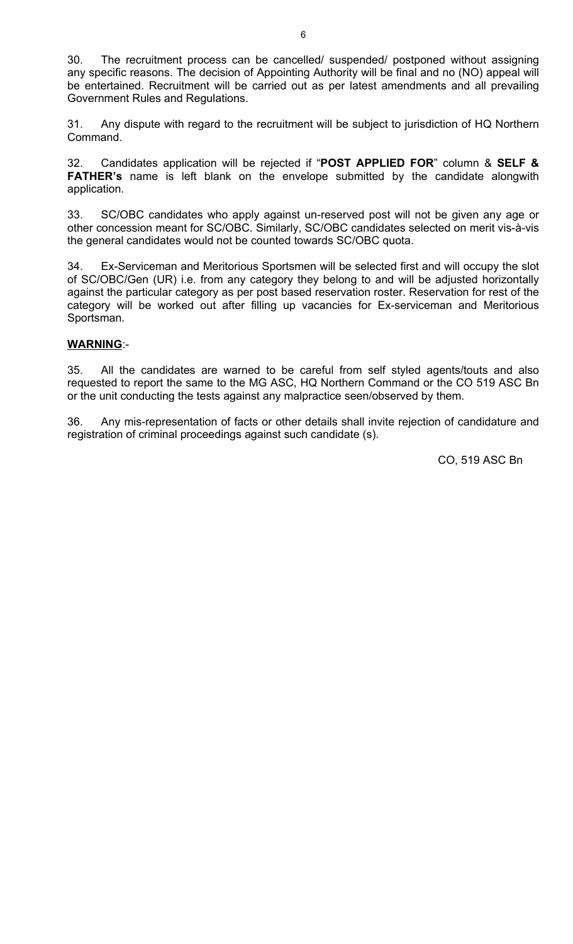30. The recruitment process can be cancelled/ suspended/ postponed without assigning any specific reasons. The decision of Appointing Authority will be final and no (NO) appeal will be entertained. Recruitment will be carried out as per latest amendments and all prevailing Government Rules and Regulations.

31. Any dispute with regard to the recruitment will be subject to jurisdiction of HQ Northern Command.

32. Candidates application will be rejected if "**POST APPLIED FOR**" column & **SELF & FATHER's** name is left blank on the envelope submitted by the candidate alongwith application.

33. SC/OBC candidates who apply against un-reserved post will not be given any age or other concession meant for SC/OBC. Similarly, SC/OBC candidates selected on merit vis-à-vis the general candidates would not be counted towards SC/OBC quota.

34. Ex-Serviceman and Meritorious Sportsmen will be selected first and will occupy the slot of SC/OBC/Gen (UR) i.e. from any category they belong to and will be adjusted horizontally against the particular category as per post based reservation roster. Reservation for rest of the category will be worked out after filling up vacancies for Ex-serviceman and Meritorious Sportsman.

### **WARNING**:-

35. All the candidates are warned to be careful from self styled agents/touts and also requested to report the same to the MG ASC, HQ Northern Command or the CO 519 ASC Bn or the unit conducting the tests against any malpractice seen/observed by them.

36. Any mis-representation of facts or other details shall invite rejection of candidature and registration of criminal proceedings against such candidate (s).

CO, 519 ASC Bn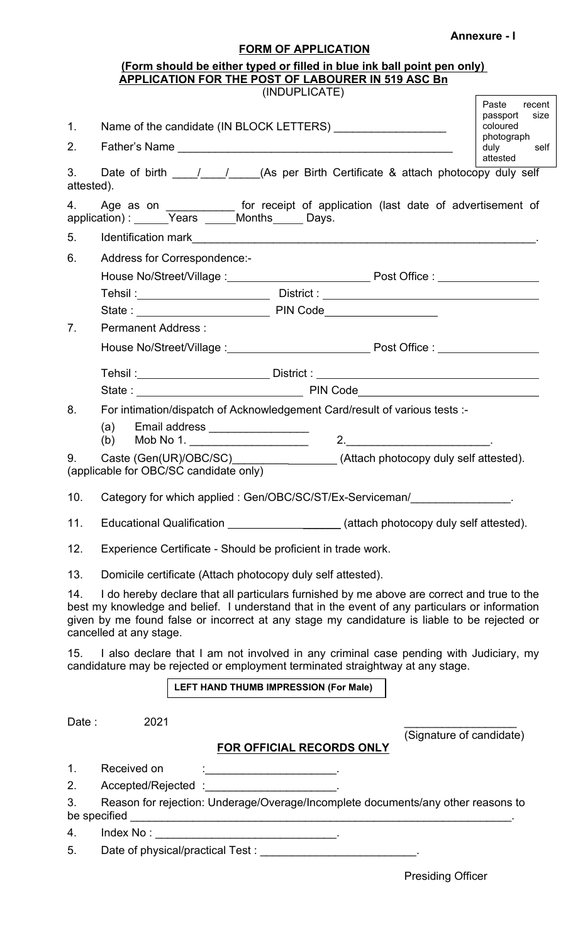### **Annexure - I**

## **FORM OF APPLICATION**

|                  | (Form should be either typed or filled in blue ink ball point pen only)<br><b>APPLICATION FOR THE POST OF LABOURER IN 519 ASC Bn</b>                                                                                                                                                                                    |                                                               |
|------------------|-------------------------------------------------------------------------------------------------------------------------------------------------------------------------------------------------------------------------------------------------------------------------------------------------------------------------|---------------------------------------------------------------|
|                  | (INDUPLICATE)                                                                                                                                                                                                                                                                                                           |                                                               |
| $1_{\cdot}$      |                                                                                                                                                                                                                                                                                                                         | Paste<br>recent<br>passport<br>size<br>coloured<br>photograph |
| 2.               |                                                                                                                                                                                                                                                                                                                         | duly<br>self<br>attested                                      |
| 3.<br>attested). | Date of birth ______________________(As per Birth Certificate & attach photocopy duly self                                                                                                                                                                                                                              |                                                               |
| 4.               | Age as on _____________ for receipt of application (last date of advertisement of                                                                                                                                                                                                                                       |                                                               |
| 5.               |                                                                                                                                                                                                                                                                                                                         |                                                               |
| 6.               | Address for Correspondence:-                                                                                                                                                                                                                                                                                            |                                                               |
|                  |                                                                                                                                                                                                                                                                                                                         |                                                               |
|                  |                                                                                                                                                                                                                                                                                                                         |                                                               |
|                  | State: PIN Code PIN Code                                                                                                                                                                                                                                                                                                |                                                               |
| 7 <sub>1</sub>   | <b>Permanent Address:</b>                                                                                                                                                                                                                                                                                               |                                                               |
|                  |                                                                                                                                                                                                                                                                                                                         |                                                               |
|                  | Tehsil :________________________________District : ______________________________                                                                                                                                                                                                                                       |                                                               |
|                  |                                                                                                                                                                                                                                                                                                                         |                                                               |
| 8.               | For intimation/dispatch of Acknowledgement Card/result of various tests :-                                                                                                                                                                                                                                              |                                                               |
|                  | Email address __________________<br>(a)<br>2.                                                                                                                                                                                                                                                                           |                                                               |
| 9.               | Caste (Gen(UR)/OBC/SC)__________________(Attach photocopy duly self attested).<br>(applicable for OBC/SC candidate only)                                                                                                                                                                                                |                                                               |
| 10.              | Category for which applied: Gen/OBC/SC/ST/Ex-Serviceman/                                                                                                                                                                                                                                                                |                                                               |
| 11.              | Educational Qualification _____________________(attach photocopy duly self attested).                                                                                                                                                                                                                                   |                                                               |
| 12.              | Experience Certificate - Should be proficient in trade work.                                                                                                                                                                                                                                                            |                                                               |
| 13.              | Domicile certificate (Attach photocopy duly self attested).                                                                                                                                                                                                                                                             |                                                               |
| 14.              | I do hereby declare that all particulars furnished by me above are correct and true to the<br>best my knowledge and belief. I understand that in the event of any particulars or information<br>given by me found false or incorrect at any stage my candidature is liable to be rejected or<br>cancelled at any stage. |                                                               |
| 15.              | I also declare that I am not involved in any criminal case pending with Judiciary, my<br>candidature may be rejected or employment terminated straightway at any stage.                                                                                                                                                 |                                                               |
|                  | LEFT HAND THUMB IMPRESSION (For Male)                                                                                                                                                                                                                                                                                   |                                                               |
|                  |                                                                                                                                                                                                                                                                                                                         |                                                               |
| Date:            | 2021                                                                                                                                                                                                                                                                                                                    |                                                               |
|                  | FOR OFFICIAL RECORDS ONLY                                                                                                                                                                                                                                                                                               | (Signature of candidate)                                      |
| 1.               | Received on                                                                                                                                                                                                                                                                                                             |                                                               |
| 2.               | Accepted/Rejected: National Accepted Accepted Accepted 3                                                                                                                                                                                                                                                                |                                                               |
| 3.               | Reason for rejection: Underage/Overage/Incomplete documents/any other reasons to                                                                                                                                                                                                                                        |                                                               |
| 4.               |                                                                                                                                                                                                                                                                                                                         |                                                               |
| 5.               |                                                                                                                                                                                                                                                                                                                         |                                                               |
|                  |                                                                                                                                                                                                                                                                                                                         |                                                               |

Presiding Officer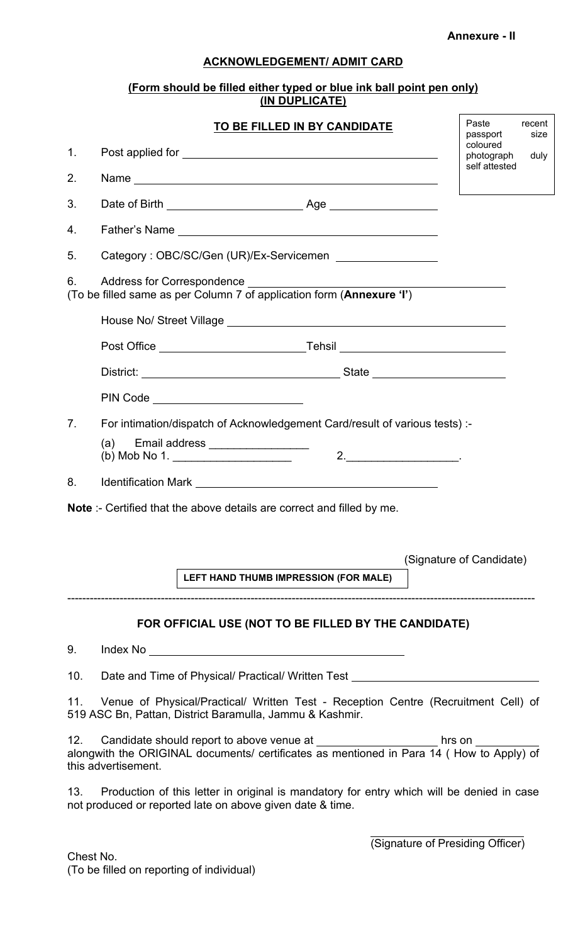**Annexure - II**

### **ACKNOWLEDGEMENT/ ADMIT CARD**

### **(Form should be filled either typed or blue ink ball point pen only) (IN DUPLICATE)**

|                | TO BE FILLED IN BY CANDIDATE                                                                                                                                                                              | Paste<br>recent<br>size<br>passport |
|----------------|-----------------------------------------------------------------------------------------------------------------------------------------------------------------------------------------------------------|-------------------------------------|
| $\mathbf{1}$ . |                                                                                                                                                                                                           | coloured<br>photograph<br>duly      |
| 2.             |                                                                                                                                                                                                           | self attested                       |
| 3.             |                                                                                                                                                                                                           |                                     |
| 4.             |                                                                                                                                                                                                           |                                     |
| 5.             | Category: OBC/SC/Gen (UR)/Ex-Servicemen __________________                                                                                                                                                |                                     |
|                |                                                                                                                                                                                                           |                                     |
|                |                                                                                                                                                                                                           |                                     |
|                |                                                                                                                                                                                                           |                                     |
|                |                                                                                                                                                                                                           |                                     |
|                | PIN Code _________________________                                                                                                                                                                        |                                     |
| 8.             | <b>Note</b> :- Certified that the above details are correct and filled by me.<br>LEFT HAND THUMB IMPRESSION (FOR MALE)                                                                                    | (Signature of Candidate)            |
|                | FOR OFFICIAL USE (NOT TO BE FILLED BY THE CANDIDATE)                                                                                                                                                      |                                     |
| 9.             |                                                                                                                                                                                                           |                                     |
| 10.            | Date and Time of Physical/ Practical/ Written Test _____________________________                                                                                                                          |                                     |
| 11.            | Venue of Physical/Practical/ Written Test - Reception Centre (Recruitment Cell) of<br>519 ASC Bn, Pattan, District Baramulla, Jammu & Kashmir.                                                            |                                     |
| 12.            | Candidate should report to above venue at __________________________ hrs on __________<br>alongwith the ORIGINAL documents/ certificates as mentioned in Para 14 (How to Apply) of<br>this advertisement. |                                     |
| 13.            | Production of this letter in original is mandatory for entry which will be denied in case<br>not produced or reported late on above given date & time.                                                    |                                     |
|                |                                                                                                                                                                                                           | (Signature of Presiding Officer)    |

Chest No. (To be filled on reporting of individual)